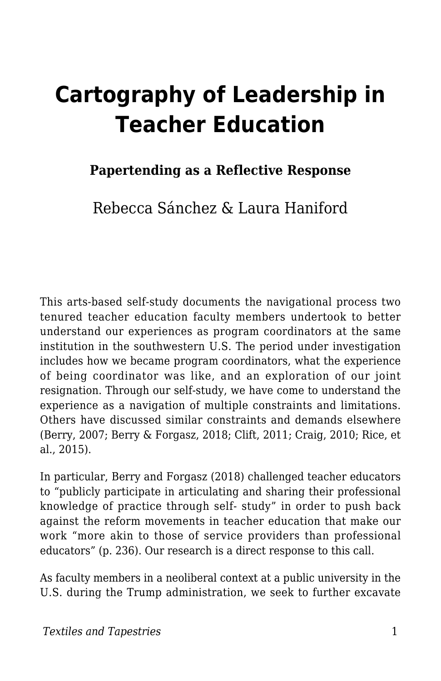# **Cartography of Leadership in Teacher Education**

## **Papertending as a Reflective Response**

Rebecca Sánchez & Laura Haniford

This arts-based self-study documents the navigational process two tenured teacher education faculty members undertook to better understand our experiences as program coordinators at the same institution in the southwestern U.S. The period under investigation includes how we became program coordinators, what the experience of being coordinator was like, and an exploration of our joint resignation. Through our self-study, we have come to understand the experience as a navigation of multiple constraints and limitations. Others have discussed similar constraints and demands elsewhere (Berry, 2007; Berry & Forgasz, 2018; Clift, 2011; Craig, 2010; Rice, et al., 2015).

In particular, Berry and Forgasz (2018) challenged teacher educators to "publicly participate in articulating and sharing their professional knowledge of practice through self- study" in order to push back against the reform movements in teacher education that make our work "more akin to those of service providers than professional educators" (p. 236). Our research is a direct response to this call.

As faculty members in a neoliberal context at a public university in the U.S. during the Trump administration, we seek to further excavate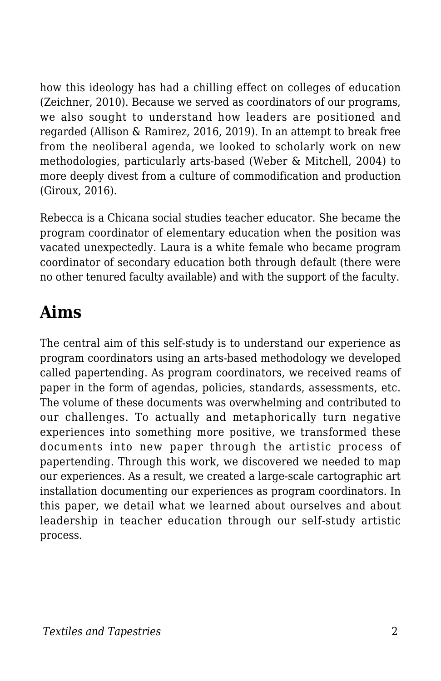how this ideology has had a chilling effect on colleges of education (Zeichner, 2010). Because we served as coordinators of our programs, we also sought to understand how leaders are positioned and regarded (Allison & Ramirez, 2016, 2019). In an attempt to break free from the neoliberal agenda, we looked to scholarly work on new methodologies, particularly arts-based (Weber & Mitchell, 2004) to more deeply divest from a culture of commodification and production (Giroux, 2016).

Rebecca is a Chicana social studies teacher educator. She became the program coordinator of elementary education when the position was vacated unexpectedly. Laura is a white female who became program coordinator of secondary education both through default (there were no other tenured faculty available) and with the support of the faculty.

# **Aims**

The central aim of this self-study is to understand our experience as program coordinators using an arts-based methodology we developed called papertending. As program coordinators, we received reams of paper in the form of agendas, policies, standards, assessments, etc. The volume of these documents was overwhelming and contributed to our challenges. To actually and metaphorically turn negative experiences into something more positive, we transformed these documents into new paper through the artistic process of papertending. Through this work, we discovered we needed to map our experiences. As a result, we created a large-scale cartographic art installation documenting our experiences as program coordinators. In this paper, we detail what we learned about ourselves and about leadership in teacher education through our self-study artistic process.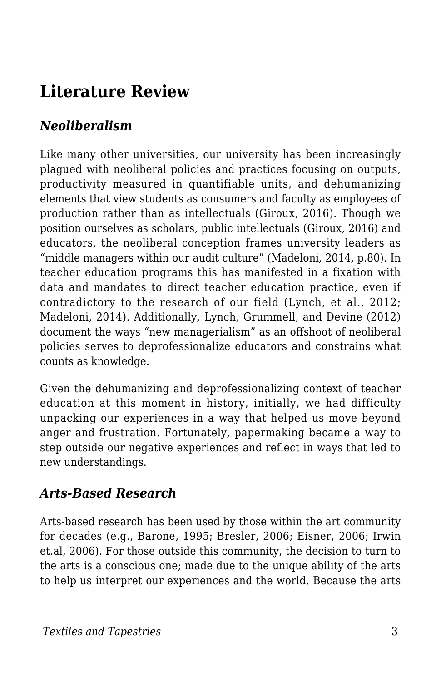# **Literature Review**

## *Neoliberalism*

Like many other universities, our university has been increasingly plagued with neoliberal policies and practices focusing on outputs, productivity measured in quantifiable units, and dehumanizing elements that view students as consumers and faculty as employees of production rather than as intellectuals (Giroux, 2016). Though we position ourselves as scholars, public intellectuals (Giroux, 2016) and educators, the neoliberal conception frames university leaders as "middle managers within our audit culture" (Madeloni, 2014, p.80). In teacher education programs this has manifested in a fixation with data and mandates to direct teacher education practice, even if contradictory to the research of our field (Lynch, et al., 2012; Madeloni, 2014). Additionally, Lynch, Grummell, and Devine (2012) document the ways "new managerialism" as an offshoot of neoliberal policies serves to deprofessionalize educators and constrains what counts as knowledge.

Given the dehumanizing and deprofessionalizing context of teacher education at this moment in history, initially, we had difficulty unpacking our experiences in a way that helped us move beyond anger and frustration. Fortunately, papermaking became a way to step outside our negative experiences and reflect in ways that led to new understandings.

#### *Arts-Based Research*

Arts-based research has been used by those within the art community for decades (e.g., Barone, 1995; Bresler, 2006; Eisner, 2006; Irwin et.al, 2006). For those outside this community, the decision to turn to the arts is a conscious one; made due to the unique ability of the arts to help us interpret our experiences and the world. Because the arts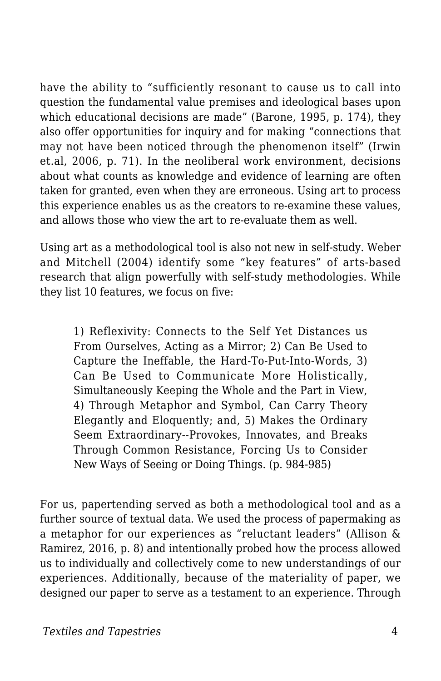have the ability to "sufficiently resonant to cause us to call into question the fundamental value premises and ideological bases upon which educational decisions are made" (Barone, 1995, p. 174), they also offer opportunities for inquiry and for making "connections that may not have been noticed through the phenomenon itself" (Irwin et.al, 2006, p. 71). In the neoliberal work environment, decisions about what counts as knowledge and evidence of learning are often taken for granted, even when they are erroneous. Using art to process this experience enables us as the creators to re-examine these values, and allows those who view the art to re-evaluate them as well.

Using art as a methodological tool is also not new in self-study. Weber and Mitchell (2004) identify some "key features" of arts-based research that align powerfully with self-study methodologies. While they list 10 features, we focus on five:

1) Reflexivity: Connects to the Self Yet Distances us From Ourselves, Acting as a Mirror; 2) Can Be Used to Capture the Ineffable, the Hard-To-Put-Into-Words, 3) Can Be Used to Communicate More Holistically, Simultaneously Keeping the Whole and the Part in View, 4) Through Metaphor and Symbol, Can Carry Theory Elegantly and Eloquently; and, 5) Makes the Ordinary Seem Extraordinary--Provokes, Innovates, and Breaks Through Common Resistance, Forcing Us to Consider New Ways of Seeing or Doing Things. (p. 984-985)

For us, papertending served as both a methodological tool and as a further source of textual data. We used the process of papermaking as a metaphor for our experiences as "reluctant leaders" (Allison & Ramirez, 2016, p. 8) and intentionally probed how the process allowed us to individually and collectively come to new understandings of our experiences. Additionally, because of the materiality of paper, we designed our paper to serve as a testament to an experience. Through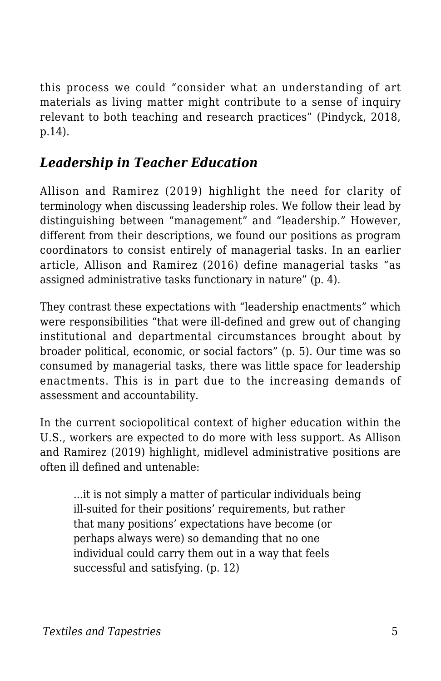this process we could "consider what an understanding of art materials as living matter might contribute to a sense of inquiry relevant to both teaching and research practices" (Pindyck, 2018, p.14).

## *Leadership in Teacher Education*

Allison and Ramirez (2019) highlight the need for clarity of terminology when discussing leadership roles. We follow their lead by distinguishing between "management" and "leadership." However, different from their descriptions, we found our positions as program coordinators to consist entirely of managerial tasks. In an earlier article, Allison and Ramirez (2016) define managerial tasks "as assigned administrative tasks functionary in nature" (p. 4).

They contrast these expectations with "leadership enactments" which were responsibilities "that were ill-defined and grew out of changing institutional and departmental circumstances brought about by broader political, economic, or social factors" (p. 5). Our time was so consumed by managerial tasks, there was little space for leadership enactments. This is in part due to the increasing demands of assessment and accountability.

In the current sociopolitical context of higher education within the U.S., workers are expected to do more with less support. As Allison and Ramirez (2019) highlight, midlevel administrative positions are often ill defined and untenable:

...it is not simply a matter of particular individuals being ill-suited for their positions' requirements, but rather that many positions' expectations have become (or perhaps always were) so demanding that no one individual could carry them out in a way that feels successful and satisfying. (p. 12)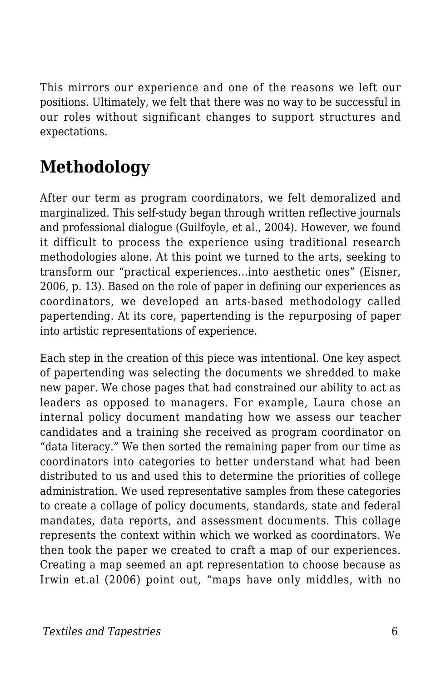This mirrors our experience and one of the reasons we left our positions. Ultimately, we felt that there was no way to be successful in our roles without significant changes to support structures and expectations.

# **Methodology**

After our term as program coordinators, we felt demoralized and marginalized. This self-study began through written reflective journals and professional dialogue (Guilfoyle, et al., 2004). However, we found it difficult to process the experience using traditional research methodologies alone. At this point we turned to the arts, seeking to transform our "practical experiences...into aesthetic ones" (Eisner, 2006, p. 13). Based on the role of paper in defining our experiences as coordinators, we developed an arts-based methodology called papertending. At its core, papertending is the repurposing of paper into artistic representations of experience.

Each step in the creation of this piece was intentional. One key aspect of papertending was selecting the documents we shredded to make new paper. We chose pages that had constrained our ability to act as leaders as opposed to managers. For example, Laura chose an internal policy document mandating how we assess our teacher candidates and a training she received as program coordinator on "data literacy." We then sorted the remaining paper from our time as coordinators into categories to better understand what had been distributed to us and used this to determine the priorities of college administration. We used representative samples from these categories to create a collage of policy documents, standards, state and federal mandates, data reports, and assessment documents. This collage represents the context within which we worked as coordinators. We then took the paper we created to craft a map of our experiences. Creating a map seemed an apt representation to choose because as Irwin et.al (2006) point out, "maps have only middles, with no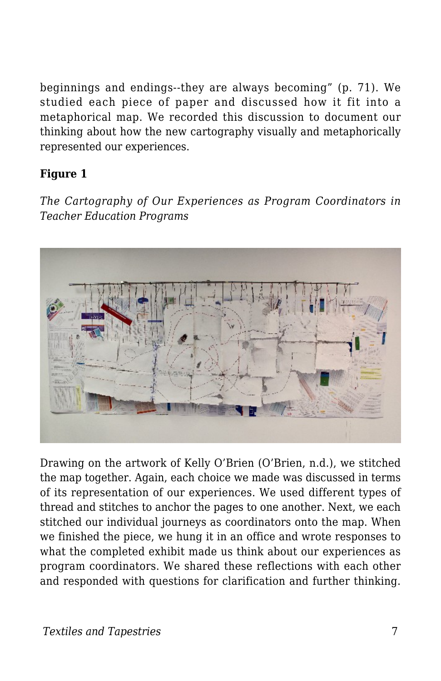beginnings and endings--they are always becoming" (p. 71). We studied each piece of paper and discussed how it fit into a metaphorical map. We recorded this discussion to document our thinking about how the new cartography visually and metaphorically represented our experiences.

#### **Figure 1**

*The Cartography of Our Experiences as Program Coordinators in Teacher Education Programs*



Drawing on the artwork of Kelly O'Brien (O'Brien, n.d.), we stitched the map together. Again, each choice we made was discussed in terms of its representation of our experiences. We used different types of thread and stitches to anchor the pages to one another. Next, we each stitched our individual journeys as coordinators onto the map. When we finished the piece, we hung it in an office and wrote responses to what the completed exhibit made us think about our experiences as program coordinators. We shared these reflections with each other and responded with questions for clarification and further thinking.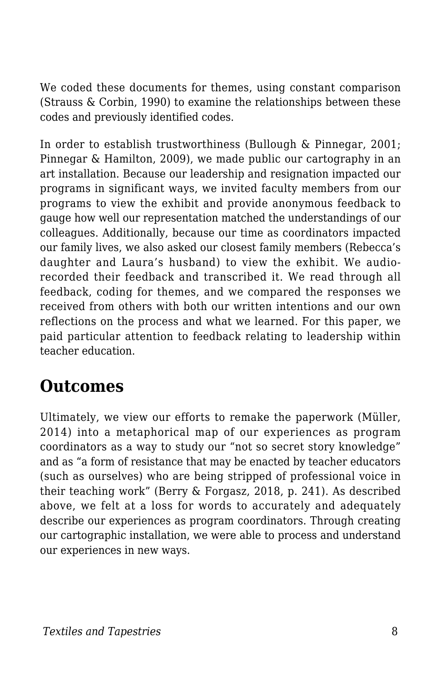We coded these documents for themes, using constant comparison (Strauss & Corbin, 1990) to examine the relationships between these codes and previously identified codes.

In order to establish trustworthiness (Bullough & Pinnegar, 2001; Pinnegar & Hamilton, 2009), we made public our cartography in an art installation. Because our leadership and resignation impacted our programs in significant ways, we invited faculty members from our programs to view the exhibit and provide anonymous feedback to gauge how well our representation matched the understandings of our colleagues. Additionally, because our time as coordinators impacted our family lives, we also asked our closest family members (Rebecca's daughter and Laura's husband) to view the exhibit. We audiorecorded their feedback and transcribed it. We read through all feedback, coding for themes, and we compared the responses we received from others with both our written intentions and our own reflections on the process and what we learned. For this paper, we paid particular attention to feedback relating to leadership within teacher education.

# **Outcomes**

Ultimately, we view our efforts to remake the paperwork (Müller, 2014) into a metaphorical map of our experiences as program coordinators as a way to study our "not so secret story knowledge" and as "a form of resistance that may be enacted by teacher educators (such as ourselves) who are being stripped of professional voice in their teaching work" (Berry & Forgasz, 2018, p. 241). As described above, we felt at a loss for words to accurately and adequately describe our experiences as program coordinators. Through creating our cartographic installation, we were able to process and understand our experiences in new ways.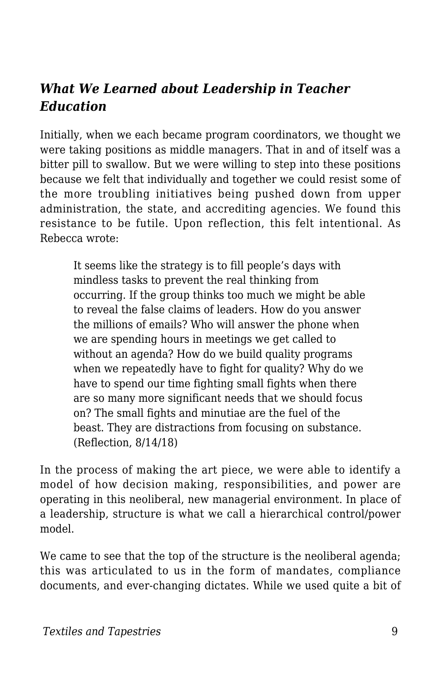#### *What We Learned about Leadership in Teacher Education*

Initially, when we each became program coordinators, we thought we were taking positions as middle managers. That in and of itself was a bitter pill to swallow. But we were willing to step into these positions because we felt that individually and together we could resist some of the more troubling initiatives being pushed down from upper administration, the state, and accrediting agencies. We found this resistance to be futile. Upon reflection, this felt intentional. As Rebecca wrote:

It seems like the strategy is to fill people's days with mindless tasks to prevent the real thinking from occurring. If the group thinks too much we might be able to reveal the false claims of leaders. How do you answer the millions of emails? Who will answer the phone when we are spending hours in meetings we get called to without an agenda? How do we build quality programs when we repeatedly have to fight for quality? Why do we have to spend our time fighting small fights when there are so many more significant needs that we should focus on? The small fights and minutiae are the fuel of the beast. They are distractions from focusing on substance. (Reflection, 8/14/18)

In the process of making the art piece, we were able to identify a model of how decision making, responsibilities, and power are operating in this neoliberal, new managerial environment. In place of a leadership, structure is what we call a hierarchical control/power model.

We came to see that the top of the structure is the neoliberal agenda; this was articulated to us in the form of mandates, compliance documents, and ever-changing dictates. While we used quite a bit of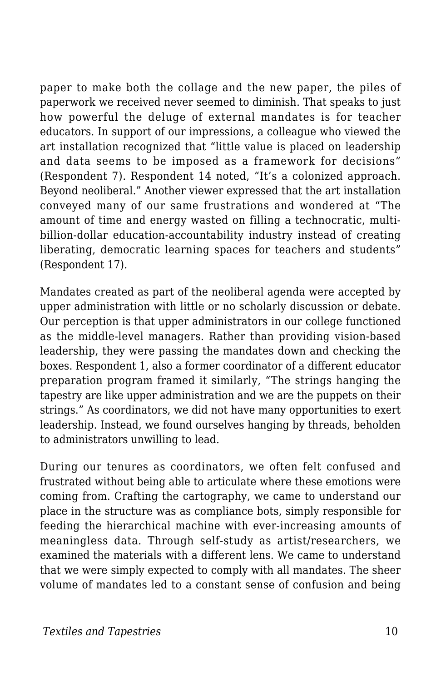paper to make both the collage and the new paper, the piles of paperwork we received never seemed to diminish. That speaks to just how powerful the deluge of external mandates is for teacher educators. In support of our impressions, a colleague who viewed the art installation recognized that "little value is placed on leadership and data seems to be imposed as a framework for decisions" (Respondent 7). Respondent 14 noted, "It's a colonized approach. Beyond neoliberal." Another viewer expressed that the art installation conveyed many of our same frustrations and wondered at "The amount of time and energy wasted on filling a technocratic, multibillion-dollar education-accountability industry instead of creating liberating, democratic learning spaces for teachers and students" (Respondent 17).

Mandates created as part of the neoliberal agenda were accepted by upper administration with little or no scholarly discussion or debate. Our perception is that upper administrators in our college functioned as the middle-level managers. Rather than providing vision-based leadership, they were passing the mandates down and checking the boxes. Respondent 1, also a former coordinator of a different educator preparation program framed it similarly, "The strings hanging the tapestry are like upper administration and we are the puppets on their strings." As coordinators, we did not have many opportunities to exert leadership. Instead, we found ourselves hanging by threads, beholden to administrators unwilling to lead.

During our tenures as coordinators, we often felt confused and frustrated without being able to articulate where these emotions were coming from. Crafting the cartography, we came to understand our place in the structure was as compliance bots, simply responsible for feeding the hierarchical machine with ever-increasing amounts of meaningless data. Through self-study as artist/researchers, we examined the materials with a different lens. We came to understand that we were simply expected to comply with all mandates. The sheer volume of mandates led to a constant sense of confusion and being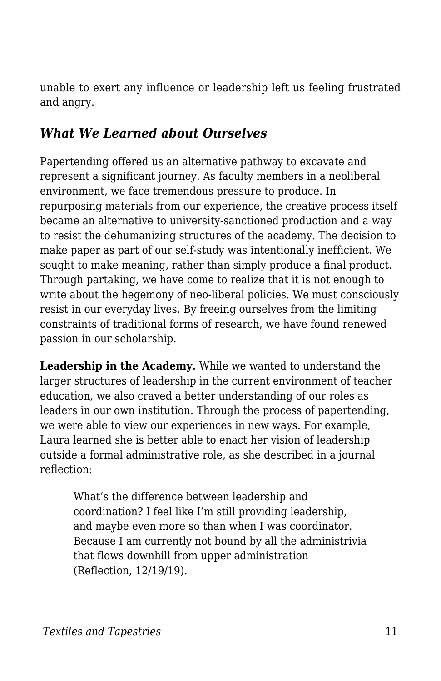unable to exert any influence or leadership left us feeling frustrated and angry.

#### *What We Learned about Ourselves*

Papertending offered us an alternative pathway to excavate and represent a significant journey. As faculty members in a neoliberal environment, we face tremendous pressure to produce. In repurposing materials from our experience, the creative process itself became an alternative to university-sanctioned production and a way to resist the dehumanizing structures of the academy. The decision to make paper as part of our self-study was intentionally inefficient. We sought to make meaning, rather than simply produce a final product. Through partaking, we have come to realize that it is not enough to write about the hegemony of neo-liberal policies. We must consciously resist in our everyday lives. By freeing ourselves from the limiting constraints of traditional forms of research, we have found renewed passion in our scholarship.

**Leadership in the Academy.** While we wanted to understand the larger structures of leadership in the current environment of teacher education, we also craved a better understanding of our roles as leaders in our own institution. Through the process of papertending, we were able to view our experiences in new ways. For example, Laura learned she is better able to enact her vision of leadership outside a formal administrative role, as she described in a journal reflection:

What's the difference between leadership and coordination? I feel like I'm still providing leadership, and maybe even more so than when I was coordinator. Because I am currently not bound by all the administrivia that flows downhill from upper administration (Reflection, 12/19/19).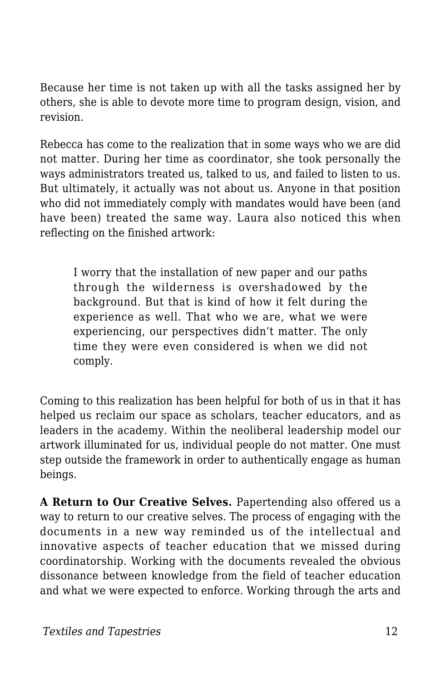Because her time is not taken up with all the tasks assigned her by others, she is able to devote more time to program design, vision, and revision.

Rebecca has come to the realization that in some ways who we are did not matter. During her time as coordinator, she took personally the ways administrators treated us, talked to us, and failed to listen to us. But ultimately, it actually was not about us. Anyone in that position who did not immediately comply with mandates would have been (and have been) treated the same way. Laura also noticed this when reflecting on the finished artwork:

I worry that the installation of new paper and our paths through the wilderness is overshadowed by the background. But that is kind of how it felt during the experience as well. That who we are, what we were experiencing, our perspectives didn't matter. The only time they were even considered is when we did not comply.

Coming to this realization has been helpful for both of us in that it has helped us reclaim our space as scholars, teacher educators, and as leaders in the academy. Within the neoliberal leadership model our artwork illuminated for us, individual people do not matter. One must step outside the framework in order to authentically engage as human beings.

**A Return to Our Creative Selves.** Papertending also offered us a way to return to our creative selves. The process of engaging with the documents in a new way reminded us of the intellectual and innovative aspects of teacher education that we missed during coordinatorship. Working with the documents revealed the obvious dissonance between knowledge from the field of teacher education and what we were expected to enforce. Working through the arts and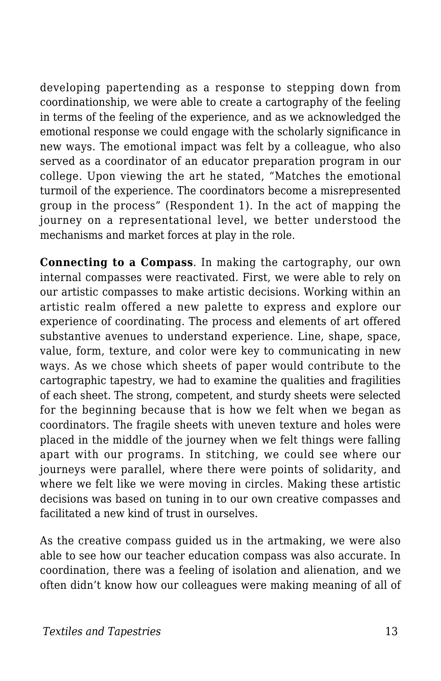developing papertending as a response to stepping down from coordinationship, we were able to create a cartography of the feeling in terms of the feeling of the experience, and as we acknowledged the emotional response we could engage with the scholarly significance in new ways. The emotional impact was felt by a colleague, who also served as a coordinator of an educator preparation program in our college. Upon viewing the art he stated, "Matches the emotional turmoil of the experience. The coordinators become a misrepresented group in the process" (Respondent 1). In the act of mapping the journey on a representational level, we better understood the mechanisms and market forces at play in the role.

**Connecting to a Compass**. In making the cartography, our own internal compasses were reactivated. First, we were able to rely on our artistic compasses to make artistic decisions. Working within an artistic realm offered a new palette to express and explore our experience of coordinating. The process and elements of art offered substantive avenues to understand experience. Line, shape, space, value, form, texture, and color were key to communicating in new ways. As we chose which sheets of paper would contribute to the cartographic tapestry, we had to examine the qualities and fragilities of each sheet. The strong, competent, and sturdy sheets were selected for the beginning because that is how we felt when we began as coordinators. The fragile sheets with uneven texture and holes were placed in the middle of the journey when we felt things were falling apart with our programs. In stitching, we could see where our journeys were parallel, where there were points of solidarity, and where we felt like we were moving in circles. Making these artistic decisions was based on tuning in to our own creative compasses and facilitated a new kind of trust in ourselves.

As the creative compass guided us in the artmaking, we were also able to see how our teacher education compass was also accurate. In coordination, there was a feeling of isolation and alienation, and we often didn't know how our colleagues were making meaning of all of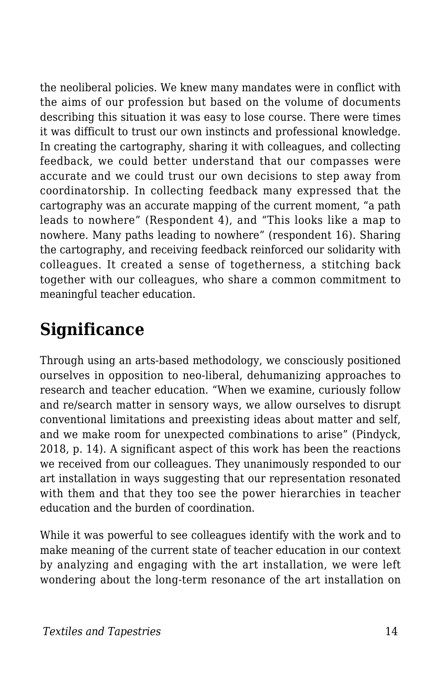the neoliberal policies. We knew many mandates were in conflict with the aims of our profession but based on the volume of documents describing this situation it was easy to lose course. There were times it was difficult to trust our own instincts and professional knowledge. In creating the cartography, sharing it with colleagues, and collecting feedback, we could better understand that our compasses were accurate and we could trust our own decisions to step away from coordinatorship. In collecting feedback many expressed that the cartography was an accurate mapping of the current moment, "a path leads to nowhere" (Respondent 4), and "This looks like a map to nowhere. Many paths leading to nowhere" (respondent 16). Sharing the cartography, and receiving feedback reinforced our solidarity with colleagues. It created a sense of togetherness, a stitching back together with our colleagues, who share a common commitment to meaningful teacher education.

# **Significance**

Through using an arts-based methodology, we consciously positioned ourselves in opposition to neo-liberal, dehumanizing approaches to research and teacher education. "When we examine, curiously follow and re/search matter in sensory ways, we allow ourselves to disrupt conventional limitations and preexisting ideas about matter and self, and we make room for unexpected combinations to arise" (Pindyck, 2018, p. 14). A significant aspect of this work has been the reactions we received from our colleagues. They unanimously responded to our art installation in ways suggesting that our representation resonated with them and that they too see the power hierarchies in teacher education and the burden of coordination.

While it was powerful to see colleagues identify with the work and to make meaning of the current state of teacher education in our context by analyzing and engaging with the art installation, we were left wondering about the long-term resonance of the art installation on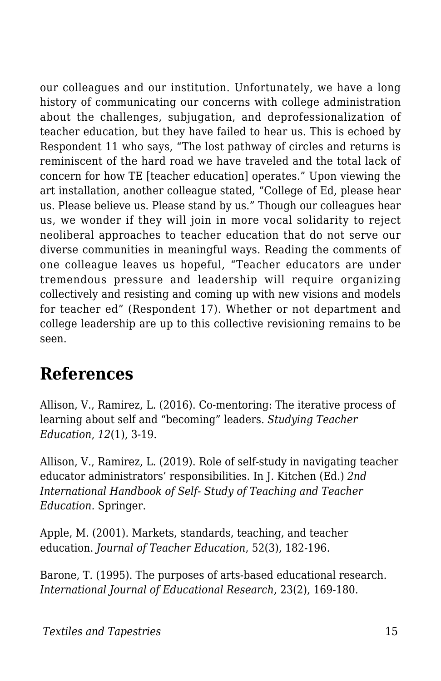our colleagues and our institution. Unfortunately, we have a long history of communicating our concerns with college administration about the challenges, subjugation, and deprofessionalization of teacher education, but they have failed to hear us. This is echoed by Respondent 11 who says, "The lost pathway of circles and returns is reminiscent of the hard road we have traveled and the total lack of concern for how TE [teacher education] operates." Upon viewing the art installation, another colleague stated, "College of Ed, please hear us. Please believe us. Please stand by us." Though our colleagues hear us, we wonder if they will join in more vocal solidarity to reject neoliberal approaches to teacher education that do not serve our diverse communities in meaningful ways. Reading the comments of one colleague leaves us hopeful, "Teacher educators are under tremendous pressure and leadership will require organizing collectively and resisting and coming up with new visions and models for teacher ed" (Respondent 17). Whether or not department and college leadership are up to this collective revisioning remains to be seen.

# **References**

Allison, V., Ramirez, L. (2016). Co-mentoring: The iterative process of learning about self and "becoming" leaders. *Studying Teacher Education*, *12*(1), 3-19.

Allison, V., Ramirez, L. (2019). Role of self-study in navigating teacher educator administrators' responsibilities. In J. Kitchen (Ed.) *2nd International Handbook of Self- Study of Teaching and Teacher Education.* Springer.

Apple, M. (2001). Markets, standards, teaching, and teacher education. *Journal of Teacher Education*, 52(3), 182-196.

Barone, T. (1995). The purposes of arts-based educational research. *International Journal of Educational Research*, 23(2), 169-180.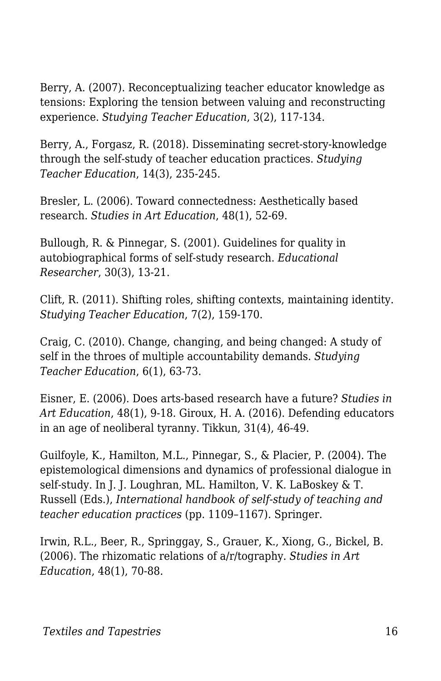Berry, A. (2007). Reconceptualizing teacher educator knowledge as tensions: Exploring the tension between valuing and reconstructing experience. *Studying Teacher Education*, 3(2), 117-134.

Berry, A., Forgasz, R. (2018). Disseminating secret-story-knowledge through the self-study of teacher education practices. *Studying Teacher Education*, 14(3), 235-245.

Bresler, L. (2006). Toward connectedness: Aesthetically based research. *Studies in Art Education*, 48(1), 52-69.

Bullough, R. & Pinnegar, S. (2001). Guidelines for quality in autobiographical forms of self-study research. *Educational Researcher*, 30(3), 13-21.

Clift, R. (2011). Shifting roles, shifting contexts, maintaining identity. *Studying Teacher Education*, 7(2), 159-170.

Craig, C. (2010). Change, changing, and being changed: A study of self in the throes of multiple accountability demands. *Studying Teacher Education*, 6(1), 63-73.

Eisner, E. (2006). Does arts-based research have a future? *Studies in Art Education*, 48(1), 9-18. Giroux, H. A. (2016). Defending educators in an age of neoliberal tyranny. Tikkun, 31(4), 46-49.

Guilfoyle, K., Hamilton, M.L., Pinnegar, S., & Placier, P. (2004). The epistemological dimensions and dynamics of professional dialogue in self-study. In J. J. Loughran, ML. Hamilton, V. K. LaBoskey & T. Russell (Eds.), *International handbook of self-study of teaching and teacher education practices* (pp. 1109–1167). Springer.

Irwin, R.L., Beer, R., Springgay, S., Grauer, K., Xiong, G., Bickel, B. (2006). The rhizomatic relations of a/r/tography. *Studies in Art Education*, 48(1), 70-88.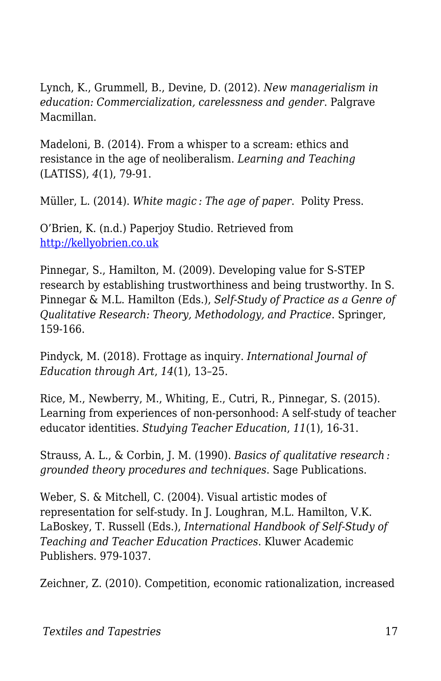Lynch, K., Grummell, B., Devine, D. (2012). *New managerialism in education: Commercialization, carelessness and gender*. Palgrave Macmillan.

Madeloni, B. (2014). From a whisper to a scream: ethics and resistance in the age of neoliberalism. *Learning and Teaching* (LATISS), *4*(1), 79-91.

Müller, L. (2014). *White magic : The age of paper*. Polity Press.

O'Brien, K. (n.d.) Paperjoy Studio. Retrieved from [http://kellyobrien.co.uk](https://kellyobrien.co.uk/)

Pinnegar, S., Hamilton, M. (2009). Developing value for S-STEP research by establishing trustworthiness and being trustworthy. In S. Pinnegar & M.L. Hamilton (Eds.), *Self-Study of Practice as a Genre of Qualitative Research: Theory, Methodology, and Practice*. Springer, 159-166.

Pindyck, M. (2018). Frottage as inquiry. *International Journal of Education through Art*, *14*(1), 13–25.

Rice, M., Newberry, M., Whiting, E., Cutri, R., Pinnegar, S. (2015). Learning from experiences of non-personhood: A self-study of teacher educator identities. *Studying Teacher Education*, *11*(1), 16-31.

Strauss, A. L., & Corbin, J. M. (1990). *Basics of qualitative research : grounded theory procedures and techniques*. Sage Publications.

Weber, S. & Mitchell, C. (2004). Visual artistic modes of representation for self-study. In J. Loughran, M.L. Hamilton, V.K. LaBoskey, T. Russell (Eds.), *International Handbook of Self-Study of Teaching and Teacher Education Practices*. Kluwer Academic Publishers. 979-1037.

Zeichner, Z. (2010). Competition, economic rationalization, increased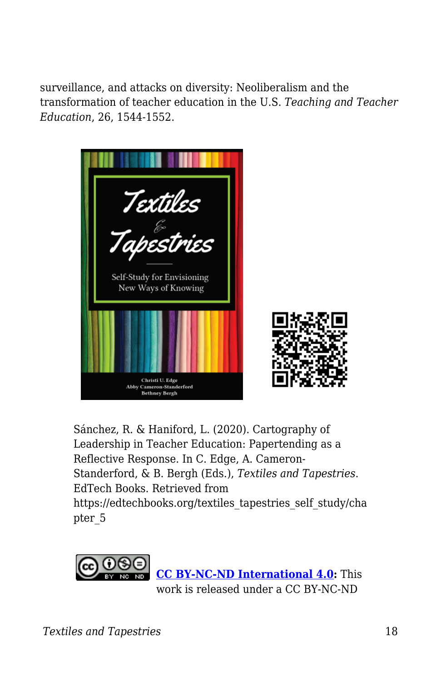surveillance, and attacks on diversity: Neoliberalism and the transformation of teacher education in the U.S. *Teaching and Teacher Education*, 26, 1544-1552.



Sánchez, R. & Haniford, L. (2020). Cartography of Leadership in Teacher Education: Papertending as a Reflective Response. In C. Edge, A. Cameron-Standerford, & B. Bergh (Eds.), *Textiles and Tapestries*. EdTech Books. Retrieved from https://edtechbooks.org/textiles\_tapestries\_self\_study/cha pter\_5